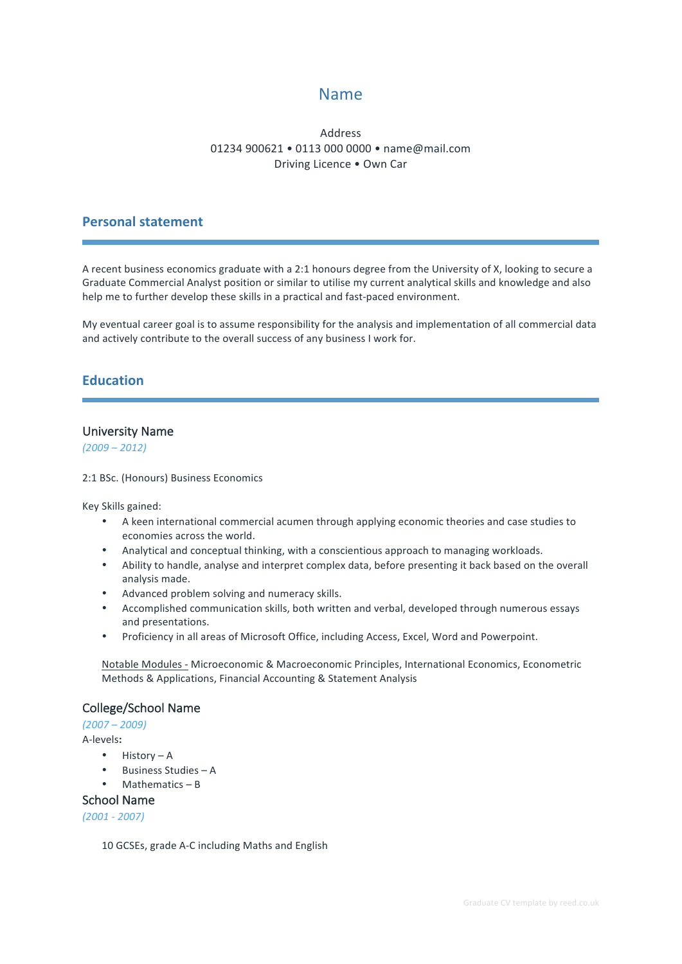# Name

### Address 01234 900621 • 0113 000 0000 • name@mail.com Driving Licence . Own Car

### **Personal statement**

A recent business economics graduate with a 2:1 honours degree from the University of X, looking to secure a Graduate Commercial Analyst position or similar to utilise my current analytical skills and knowledge and also help me to further develop these skills in a practical and fast-paced environment.

My eventual career goal is to assume responsibility for the analysis and implementation of all commercial data and actively contribute to the overall success of any business I work for.

## **Education**

### University Name

*(2009 – 2012)*

2:1 BSc. (Honours) Business Economics

Key Skills gained:

- A keen international commercial acumen through applying economic theories and case studies to economies across the world.
- Analytical and conceptual thinking, with a conscientious approach to managing workloads.
- Ability to handle, analyse and interpret complex data, before presenting it back based on the overall analysis made.
- Advanced problem solving and numeracy skills.
- Accomplished communication skills, both written and verbal, developed through numerous essays and presentations.
- Proficiency in all areas of Microsoft Office, including Access, Excel, Word and Powerpoint.

Notable Modules - Microeconomic & Macroeconomic Principles, International Economics, Econometric Methods & Applications, Financial Accounting & Statement Analysis

### College/School Name

*(2007 – 2009)*

A-levels**:**

- $\bullet$  History A
- Business Studies A
- $Mathematics B$

#### School Name

*(2001 - 2007)*

10 GCSEs, grade A-C including Maths and English